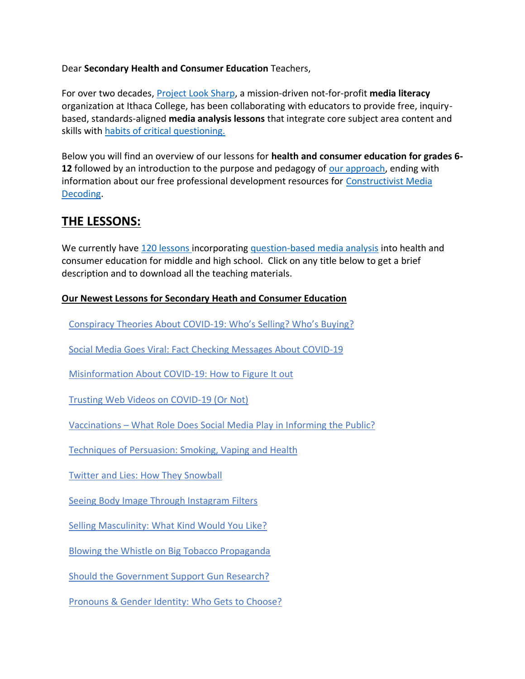#### Dear **Secondary Health and Consumer Education** Teachers,

For over two decades, [Project Look Sharp,](https://www.projectlooksharp.org/) a mission-driven not-for-profit **media literacy** organization at Ithaca College, has been collaborating with educators to provide free, inquirybased, standards-aligned **media analysis lessons** that integrate core subject area content and skills with [habits of critical questioning.](https://projectlooksharp.org/Resources%202/Key-Questions-for-Decoding%20Dec-21.pdf)

Below you will find an overview of our lessons for **health and consumer education for grades 6- 12** followed by an introduction to the purpose and pedagogy of [our approach,](https://projectlooksharp.org/our-approach.php) ending with information about our free professional development resources for [Constructivist Media](https://projectlooksharp.org/our-approach.php#Constructivist)  [Decoding.](https://projectlooksharp.org/our-approach.php#Constructivist)

## **THE LESSONS:**

We currently have [120 lessons i](https://projectlooksharp.org/search-result.php?limit=10&search%5Bkeyword%5D=&search%5Bcategory%5D=lessons&search_filter%5Bresource_subject_area%5D%5B%5D=Health+Education&search_filter%5Bresource_grade_level%5D%5B%5D=middle+school&search_filter%5Bresource_grade_level%5D%5B%5D=high+school)ncorporating [question-based media analysis](https://projectlooksharp.org/our-approach.php#Constructivist) into health and consumer education for middle and high school. Click on any title below to get a brief description and to download all the teaching materials.

### **Our Newest Lessons for Secondary Heath and Consumer Education**

[Conspiracy](https://projectlooksharp.org/front_end_resource.php?resource_id=523) Theories About COVID-19: Who's Selling? Who's Buying?

Social Media Goes Viral: Fact Checking [Messages](https://projectlooksharp.org/front_end_resource.php?resource_id=503) About COVID-19

[Misinformation](https://projectlooksharp.org/front_end_resource.php?resource_id=501) About COVID-19: How to Figure It out

Trusting Web Videos on [COVID-19](https://projectlooksharp.org/front_end_resource.php?resource_id=506) (Or Not)

[Vaccinations](https://projectlooksharp.org/front_end_resource.php?resource_id=488) – What Role Does Social Media Play in Informing the Public?

[Techniques](https://projectlooksharp.org/front_end_resource.php?resource_id=528) of Persuasion: Smoking, Vaping and Health

Twitter and Lies: How They [Snowball](https://projectlooksharp.org/front_end_resource.php?resource_id=468)

Seeing Body Image Through [Instagram](https://projectlooksharp.org/front_end_resource.php?resource_id=489) Filters

Selling [Masculinity:](https://projectlooksharp.org/front_end_resource.php?resource_id=460) What Kind Would You Like?

Blowing the Whistle on Big Tobacco [Propaganda](https://projectlooksharp.org/front_end_resource.php?resource_id=530)

Should the [Government](https://projectlooksharp.org/front_end_resource.php?resource_id=566) Support Gun Research?

[Pronouns](https://projectlooksharp.org/front_end_resource.php?resource_id=467) & Gender Identity: Who Gets to Choose?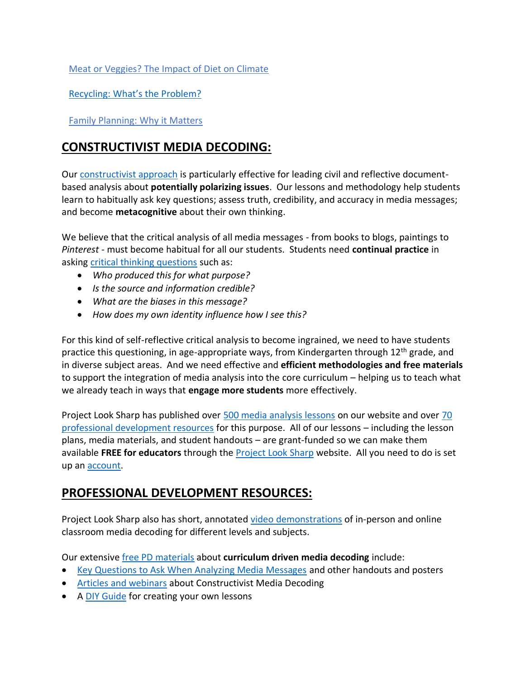Meat or [Veggies?](https://projectlooksharp.org/front_end_resource.php?resource_id=492) The Impact of Diet on Climate

[Recycling:](https://www.projectlooksharp.org/front_end_resource.php?resource_id=578) What's the Problem?

Family [Planning:](https://projectlooksharp.org/front_end_resource.php?resource_id=446) Why it Matters

# **CONSTRUCTIVIST MEDIA DECODING:**

Our [constructivist approach](https://projectlooksharp.org/our-approach.php) is particularly effective for leading civil and reflective documentbased analysis about **potentially polarizing issues**. Our lessons and methodology help students learn to habitually ask key questions; assess truth, credibility, and accuracy in media messages; and become **metacognitive** about their own thinking.

We believe that the critical analysis of all media messages - from books to blogs, paintings to *Pinterest* - must become habitual for all our students. Students need **continual practice** in asking [critical thinking questions](https://projectlooksharp.org/Resources%202/Project%20Look%20Sharp%20Key%20Questions%20Both.pdf) such as:

- *Who produced this for what purpose?*
- *Is the source and information credible?*
- *What are the biases in this message?*
- *How does my own identity influence how I see this?*

For this kind of self-reflective critical analysis to become ingrained, we need to have students practice this questioning, in age-appropriate ways, from Kindergarten through 12<sup>th</sup> grade, and in diverse subject areas. And we need effective and **efficient methodologies and free materials** to support the integration of media analysis into the core curriculum – helping us to teach what we already teach in ways that **engage more students** more effectively.

Project Look Sharp has published over [500 media analysis lessons](https://www.projectlooksharp.org/search-result.php?search%5Bkeyword%5D=&search%5Bcategory%5D=lessons) on our website and over [70](https://www.projectlooksharp.org/search-result.php?search%5Bkeyword%5D=&search%5Bcategory%5D=PD)  [professional development resources](https://www.projectlooksharp.org/search-result.php?search%5Bkeyword%5D=&search%5Bcategory%5D=PD) for this purpose. All of our lessons – including the lesson plans, media materials, and student handouts – are grant-funded so we can make them available **FREE for educators** through the [Project Look Sharp](https://projectlooksharp.org/index.php) website. All you need to do is set up an [account.](https://projectlooksharp.org/register.php)

### **PROFESSIONAL DEVELOPMENT RESOURCES:**

Project Look Sharp also has short, annotated [video demonstrations](https://projectlooksharp.org/our-approach.php#videos) of in-person and online classroom media decoding for different levels and subjects.

Our extensive [free PD materials](https://projectlooksharp.org/our-approach.php) about **curriculum driven media decoding** include:

- [Key Questions to Ask When Analyzing Media Messages](https://projectlooksharp.org/our-approach.php#handouts) and other handouts and posters
- [Articles and webinars](https://projectlooksharp.org/our-approach.php#articles) about Constructivist Media Decoding
- A [DIY Guide](https://projectlooksharp.org/?action=diy) for creating your own lessons